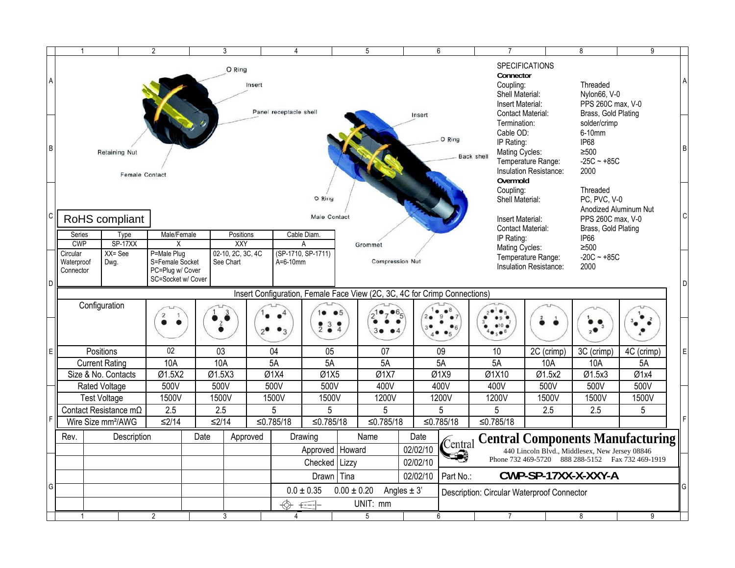|                                                           | $\mathbf{1}$                                                                                                                                       |                                               | $\overline{2}$   |                   | 3                                     |                              | 4                             |                                   | 5                                                                                                                  |                                                                              | 6          | 7                                                                                                                     |                                                                                                    | 8                                                                            | 9          |   |
|-----------------------------------------------------------|----------------------------------------------------------------------------------------------------------------------------------------------------|-----------------------------------------------|------------------|-------------------|---------------------------------------|------------------------------|-------------------------------|-----------------------------------|--------------------------------------------------------------------------------------------------------------------|------------------------------------------------------------------------------|------------|-----------------------------------------------------------------------------------------------------------------------|----------------------------------------------------------------------------------------------------|------------------------------------------------------------------------------|------------|---|
| $\overline{A}$                                            |                                                                                                                                                    |                                               |                  | Insert            | Panel receptacle shell<br>Insert      |                              |                               |                                   | <b>SPECIFICATIONS</b><br>Connector<br>Coupling:<br>Shell Material:<br>Insert Material:<br><b>Contact Material:</b> |                                                                              |            | Threaded<br>Nylon66, V-0<br>PPS 260C max. V-0<br>Brass, Gold Plating                                                  |                                                                                                    |                                                                              |            |   |
| lв                                                        |                                                                                                                                                    | <b>Retaining Nut</b><br><b>Female Contact</b> |                  |                   |                                       | O Ring                       |                               |                                   |                                                                                                                    |                                                                              | Back shell | Termination:<br>Cable OD:<br>IP Rating:<br>Mating Cycles:<br>Temperature Range:<br>Insulation Resistance:<br>Overmold |                                                                                                    | solder/crimp<br>6-10mm<br><b>IP68</b><br>$\geq 500$<br>$-25C - +85C$<br>2000 |            |   |
| l C                                                       |                                                                                                                                                    | RoHS compliant                                |                  |                   | O Ring<br>Male Contact<br>Cable Diam. |                              |                               |                                   |                                                                                                                    | Coupling:<br>Shell Material:<br>Insert Material:<br><b>Contact Material:</b> |            | Threaded<br>PC, PVC, V-0<br>Anodized Aluminum Nut<br>PPS 260C max, V-0<br>Brass, Gold Plating                         |                                                                                                    |                                                                              |            |   |
|                                                           | Series<br><b>CWP</b>                                                                                                                               | Type<br>SP-17XX                               | Male/Female<br>X |                   | Positions<br>XXY                      |                              | A                             |                                   |                                                                                                                    |                                                                              |            | IP Rating:                                                                                                            |                                                                                                    | IP66                                                                         |            |   |
| D                                                         | $XX = See$<br>Circular<br>P=Male Plug<br>S=Female Socket<br>See Chart<br>Waterproof<br>Dwg.<br>PC=Plug w/ Cover<br>Connector<br>SC=Socket w/ Cover |                                               |                  | 02-10, 2C, 3C, 4C | (SP-1710, SP-1711)<br>$A=6-10$ mm     |                              |                               | Grommet<br><b>Compression Nut</b> |                                                                                                                    |                                                                              |            | Mating Cycles:<br>Temperature Range:<br>Insulation Resistance:                                                        |                                                                                                    | $≥500$<br>$-20C - +85C$<br>2000                                              |            |   |
|                                                           |                                                                                                                                                    |                                               |                  |                   |                                       |                              |                               |                                   | Insert Configuration, Female Face View (2C, 3C, 4C for Crimp Connections)                                          |                                                                              |            |                                                                                                                       |                                                                                                    |                                                                              |            |   |
|                                                           | Configuration                                                                                                                                      |                                               |                  |                   |                                       |                              | 239                           | $\bullet$ $\bullet$ 5<br>3●       |                                                                                                                    |                                                                              |            | •10                                                                                                                   |                                                                                                    | , 0                                                                          |            |   |
| lE.                                                       |                                                                                                                                                    | Positions                                     | 02               | 03                |                                       | 04                           | 05                            |                                   | 07                                                                                                                 |                                                                              | 09         | 10                                                                                                                    | 2C (crimp)                                                                                         | 3C (crimp)                                                                   | 4C (crimp) | Ε |
|                                                           |                                                                                                                                                    | 10A<br>10A<br><b>Current Rating</b>           |                  |                   | 5A                                    |                              | 5A                            |                                   |                                                                                                                    | 5A<br>5A                                                                     |            | 10A                                                                                                                   | 10A                                                                                                | 5A                                                                           |            |   |
|                                                           |                                                                                                                                                    | Size & No. Contacts                           | Ø1.5X2           | Ø1.5X3            |                                       | Ø1X4                         | Ø1X5                          |                                   | $\overline{\emptyset1X7}$                                                                                          |                                                                              | Ø1X9       | Ø1X10                                                                                                                 | Ø1.5x2                                                                                             | Ø1.5x3                                                                       | Ø1x4       |   |
|                                                           |                                                                                                                                                    | Rated Voltage                                 | 500V             | 500V              |                                       | 500V                         | 500V                          |                                   | 400V                                                                                                               |                                                                              | 400V       | 400V                                                                                                                  | 500V                                                                                               | 500V                                                                         | 500V       |   |
|                                                           |                                                                                                                                                    | <b>Test Voltage</b>                           | 1500V            | 1500V             |                                       | 1500V                        | 1500V                         |                                   | 1200V                                                                                                              |                                                                              | 1200V      | 1200V                                                                                                                 | 1500V                                                                                              | 1500V                                                                        | 1500V      |   |
|                                                           |                                                                                                                                                    | Contact Resistance $m\Omega$                  | 2.5              | 2.5               |                                       | 5                            | 5                             |                                   | 5                                                                                                                  |                                                                              | 5          | 5                                                                                                                     | 2.5                                                                                                | 2.5                                                                          | 5          |   |
|                                                           |                                                                                                                                                    | Wire Size mm <sup>2</sup> /AWG                | $≤2/14$          | $≤2/14$           |                                       | ≤0.785/18                    | ≤0.785/18                     |                                   | ≤0.785/18                                                                                                          |                                                                              | ≤0.785/18  | ≤0.785/18                                                                                                             |                                                                                                    |                                                                              |            |   |
|                                                           | Rev.                                                                                                                                               | Date<br>Description                           |                  | Approved          |                                       | Drawing<br>Approved   Howard |                               | Name                              | Date<br>02/02/10                                                                                                   | Central                                                                      |            | <b>Central Components Manufacturing</b>                                                                               |                                                                                                    |                                                                              |            |   |
|                                                           |                                                                                                                                                    |                                               |                  |                   |                                       |                              |                               |                                   |                                                                                                                    | 02/02/10                                                                     |            |                                                                                                                       | 440 Lincoln Blvd., Middlesex, New Jersey 08846<br>Phone 732 469-5720 888 288-5152 Fax 732 469-1919 |                                                                              |            |   |
|                                                           |                                                                                                                                                    |                                               |                  |                   |                                       |                              | Checked   Lizzy<br>Drawn Tina |                                   |                                                                                                                    | 02/02/10                                                                     | Part No.:  | CWP-SP-17XX-X-XXY-A                                                                                                   |                                                                                                    |                                                                              |            |   |
| lG                                                        |                                                                                                                                                    |                                               |                  |                   |                                       |                              | $0.0 \pm 0.35$                | $0.00 \pm 0.20$                   |                                                                                                                    | Angles $\pm$ 3'                                                              |            | Description: Circular Waterproof Connector                                                                            |                                                                                                    |                                                                              |            |   |
| UNIT: mm<br>-E--1-                                        |                                                                                                                                                    |                                               |                  |                   |                                       |                              |                               |                                   |                                                                                                                    |                                                                              |            |                                                                                                                       |                                                                                                    |                                                                              |            |   |
| $\overline{5}$<br>$\overline{2}$<br>3<br>6<br>4<br>7<br>1 |                                                                                                                                                    |                                               |                  |                   |                                       |                              |                               |                                   |                                                                                                                    | 8                                                                            | 9          |                                                                                                                       |                                                                                                    |                                                                              |            |   |